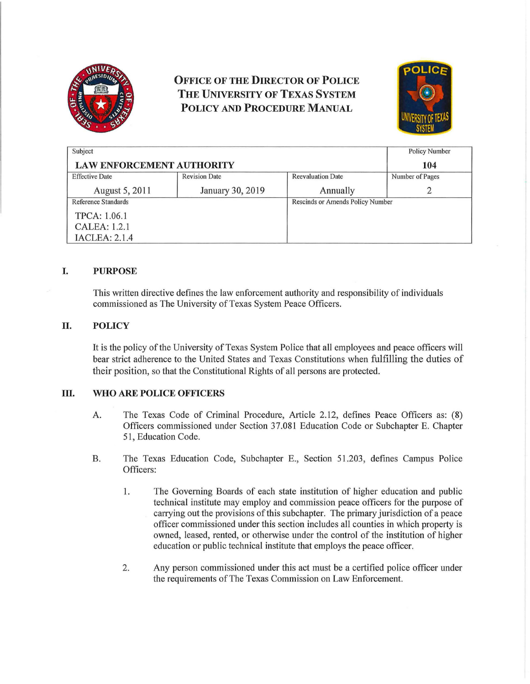

# **OFFICE OF THE DIRECTOR OF POLICE THE UNIVERSITY OF TEXAS SYSTEM POLICY AND PROCEDURE MANUAL**



| Subject                          |                      |                                  | <b>Policy Number</b> |
|----------------------------------|----------------------|----------------------------------|----------------------|
| <b>LAW ENFORCEMENT AUTHORITY</b> |                      |                                  | 104                  |
| <b>Effective Date</b>            | <b>Revision Date</b> | <b>Reevaluation Date</b>         | Number of Pages      |
| August 5, 2011                   | January 30, 2019     | Annually                         |                      |
| Reference Standards              |                      | Rescinds or Amends Policy Number |                      |
| TPCA: 1.06.1                     |                      |                                  |                      |
| CALEA: 1.2.1                     |                      |                                  |                      |
| <b>IACLEA: 2.1.4</b>             |                      |                                  |                      |

## **I. PURPOSE**

This written directive defines the law enforcement authority and responsibility of individuals commissioned as The University of Texas System Peace Officers.

### **II. POLICY**

It is the policy of the University of Texas System Police that all employees and peace officers will bear strict adherence to the United States and Texas Constitutions when fulfilling the duties of their position, so that the Constitutional Rights of all persons are protected.

### **ill. WHO ARE POLICE OFFICERS**

- A. The Texas Code of Criminal Procedure, Article 2.12, defines Peace Officers as: (8) Officers commissioned under Section 37.081 Education Code or Subchapter E. Chapter 51, Education Code.
- B. The Texas Education Code, Subchapter E., Section 51.203, defines Campus Police Officers:
	- 1. The Governing Boards of each state institution of higher education and public technical institute may employ and commission peace officers for the purpose of carrying out the provisions of this subchapter. The primary jurisdiction of a peace officer commissioned under this section includes all counties in which property is owned, leased, rented, or otherwise under the control of the institution of higher education or public technical institute that employs the peace officer.
	- 2. Any person commissioned under this act must be a certified police officer under the requirements of The Texas Commission on Law Enforcement.